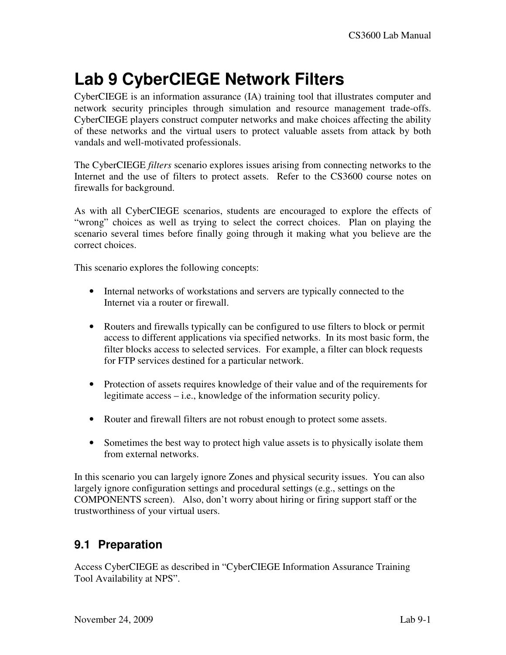## **Lab 9 CyberCIEGE Network Filters**

CyberCIEGE is an information assurance (IA) training tool that illustrates computer and network security principles through simulation and resource management trade-offs. CyberCIEGE players construct computer networks and make choices affecting the ability of these networks and the virtual users to protect valuable assets from attack by both vandals and well-motivated professionals.

The CyberCIEGE *filters* scenario explores issues arising from connecting networks to the Internet and the use of filters to protect assets. Refer to the CS3600 course notes on firewalls for background.

As with all CyberCIEGE scenarios, students are encouraged to explore the effects of "wrong" choices as well as trying to select the correct choices. Plan on playing the scenario several times before finally going through it making what you believe are the correct choices.

This scenario explores the following concepts:

- Internal networks of workstations and servers are typically connected to the Internet via a router or firewall.
- Routers and firewalls typically can be configured to use filters to block or permit access to different applications via specified networks. In its most basic form, the filter blocks access to selected services. For example, a filter can block requests for FTP services destined for a particular network.
- Protection of assets requires knowledge of their value and of the requirements for legitimate access – i.e., knowledge of the information security policy.
- Router and firewall filters are not robust enough to protect some assets.
- Sometimes the best way to protect high value assets is to physically isolate them from external networks.

In this scenario you can largely ignore Zones and physical security issues. You can also largely ignore configuration settings and procedural settings (e.g., settings on the COMPONENTS screen). Also, don't worry about hiring or firing support staff or the trustworthiness of your virtual users.

## **9.1 Preparation**

Access CyberCIEGE as described in "CyberCIEGE Information Assurance Training Tool Availability at NPS".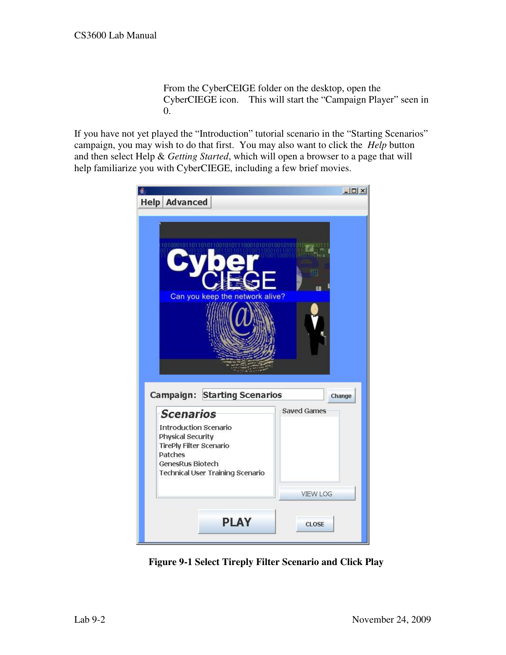From the CyberCEIGE folder on the desktop, open the CyberCIEGE icon. This will start the "Campaign Player" seen in 0.

If you have not yet played the "Introduction" tutorial scenario in the "Starting Scenarios" campaign, you may wish to do that first. You may also want to click the *Help* button and then select Help & *Getting Started*, which will open a browser to a page that will help familiarize you with CyberCIEGE, including a few brief movies.



**Figure 9-1 Select Tireply Filter Scenario and Click Play**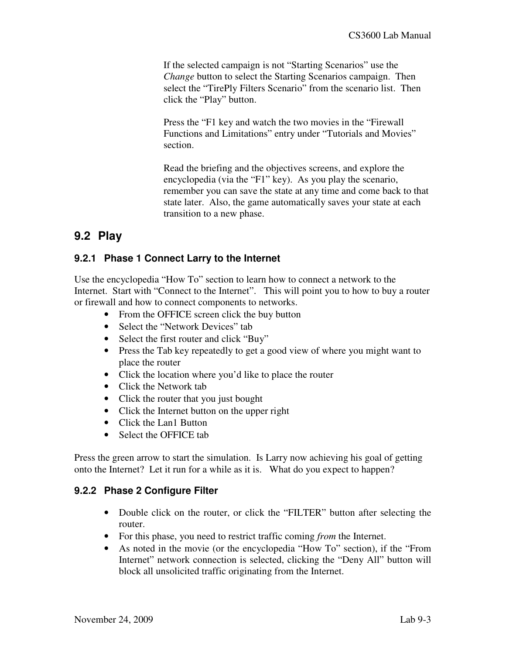If the selected campaign is not "Starting Scenarios" use the *Change* button to select the Starting Scenarios campaign. Then select the "TirePly Filters Scenario" from the scenario list. Then click the "Play" button.

Press the "F1 key and watch the two movies in the "Firewall Functions and Limitations" entry under "Tutorials and Movies" section.

Read the briefing and the objectives screens, and explore the encyclopedia (via the "F1" key). As you play the scenario, remember you can save the state at any time and come back to that state later. Also, the game automatically saves your state at each transition to a new phase.

## **9.2 Play**

#### **9.2.1 Phase 1 Connect Larry to the Internet**

Use the encyclopedia "How To" section to learn how to connect a network to the Internet. Start with "Connect to the Internet". This will point you to how to buy a router or firewall and how to connect components to networks.

- From the OFFICE screen click the buy button
- Select the "Network Devices" tab
- Select the first router and click "Buy"
- Press the Tab key repeatedly to get a good view of where you might want to place the router
- Click the location where you'd like to place the router
- Click the Network tab
- Click the router that you just bought
- Click the Internet button on the upper right
- Click the Lan1 Button
- Select the OFFICE tab

Press the green arrow to start the simulation. Is Larry now achieving his goal of getting onto the Internet? Let it run for a while as it is. What do you expect to happen?

#### **9.2.2 Phase 2 Configure Filter**

- Double click on the router, or click the "FILTER" button after selecting the router.
- For this phase, you need to restrict traffic coming *from* the Internet.
- As noted in the movie (or the encyclopedia "How To" section), if the "From Internet" network connection is selected, clicking the "Deny All" button will block all unsolicited traffic originating from the Internet.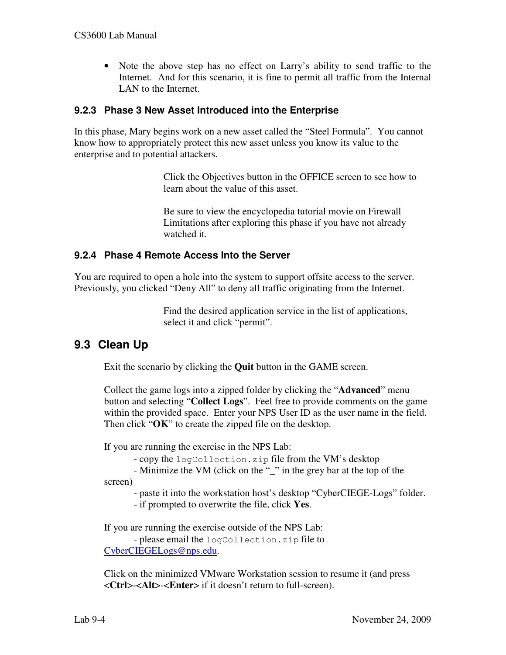• Note the above step has no effect on Larry's ability to send traffic to the Internet. And for this scenario, it is fine to permit all traffic from the Internal LAN to the Internet.

#### **9.2.3 Phase 3 New Asset Introduced into the Enterprise**

In this phase, Mary begins work on a new asset called the "Steel Formula". You cannot know how to appropriately protect this new asset unless you know its value to the enterprise and to potential attackers.

> Click the Objectives button in the OFFICE screen to see how to learn about the value of this asset.

Be sure to view the encyclopedia tutorial movie on Firewall Limitations after exploring this phase if you have not already watched it.

#### **9.2.4 Phase 4 Remote Access Into the Server**

You are required to open a hole into the system to support offsite access to the server. Previously, you clicked "Deny All" to deny all traffic originating from the Internet.

> Find the desired application service in the list of applications, select it and click "permit".

## **9.3 Clean Up**

Exit the scenario by clicking the **Quit** button in the GAME screen.

Collect the game logs into a zipped folder by clicking the "**Advanced**" menu button and selecting "**Collect Logs**". Feel free to provide comments on the game within the provided space. Enter your NPS User ID as the user name in the field. Then click "**OK**" to create the zipped file on the desktop.

If you are running the exercise in the NPS Lab:

- copy the logCollection.zip file from the VM's desktop

- Minimize the VM (click on the "\_" in the grey bar at the top of the

screen)

- paste it into the workstation host's desktop "CyberCIEGE-Logs" folder.

- if prompted to overwrite the file, click **Yes**.

If you are running the exercise outside of the NPS Lab:

 - please email the logCollection.zip file to CyberCIEGELogs@nps.edu.

Click on the minimized VMware Workstation session to resume it (and press <**Ctrl**>-<**Alt**>-<**Enter**> if it doesn't return to full-screen).